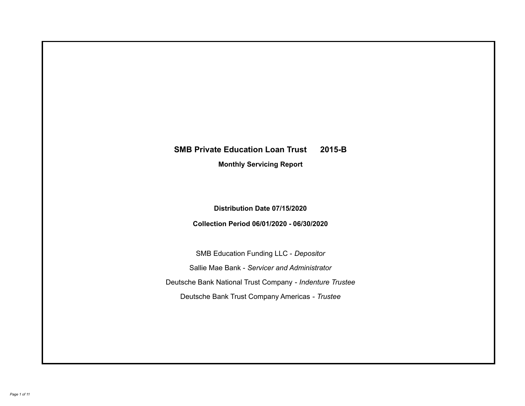# **SMB Private Education Loan Trust 2015-B Monthly Servicing Report**

# **Distribution Date 07/15/2020**

# **Collection Period 06/01/2020 - 06/30/2020**

SMB Education Funding LLC - *Depositor* Sallie Mae Bank - *Servicer and Administrator* Deutsche Bank National Trust Company - *Indenture Trustee* Deutsche Bank Trust Company Americas - *Trustee*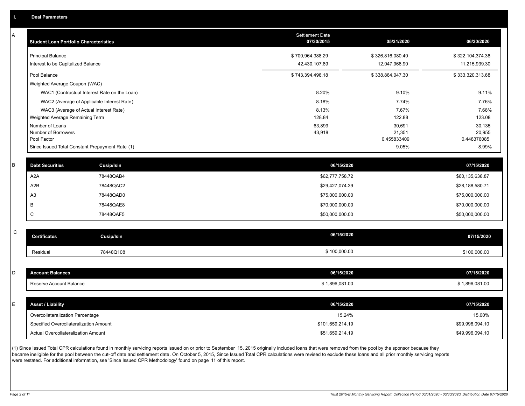| A           | <b>Student Loan Portfolio Characteristics</b> |                                                 | <b>Settlement Date</b><br>07/30/2015 | 05/31/2020            | 06/30/2020            |
|-------------|-----------------------------------------------|-------------------------------------------------|--------------------------------------|-----------------------|-----------------------|
|             | <b>Principal Balance</b>                      |                                                 | \$700,964,388.29                     | \$326,816,080.40      | \$322,104,374.38      |
|             | Interest to be Capitalized Balance            |                                                 | 42,430,107.89                        | 12,047,966.90         | 11,215,939.30         |
|             | Pool Balance                                  |                                                 | \$743,394,496.18                     | \$338,864,047.30      | \$333,320,313.68      |
|             | Weighted Average Coupon (WAC)                 |                                                 |                                      |                       |                       |
|             |                                               | WAC1 (Contractual Interest Rate on the Loan)    | 8.20%                                | 9.10%                 | 9.11%                 |
|             |                                               | WAC2 (Average of Applicable Interest Rate)      | 8.18%                                | 7.74%                 | 7.76%                 |
|             |                                               | WAC3 (Average of Actual Interest Rate)          | 8.13%                                | 7.67%                 | 7.68%                 |
|             | Weighted Average Remaining Term               |                                                 | 128.84                               | 122.88                | 123.08                |
|             | Number of Loans                               |                                                 | 63,899                               | 30,691                | 30,135                |
|             | Number of Borrowers<br>Pool Factor            |                                                 | 43,918                               | 21,351<br>0.455833409 | 20,955<br>0.448376085 |
|             |                                               | Since Issued Total Constant Prepayment Rate (1) |                                      | 9.05%                 | 8.99%                 |
|             |                                               |                                                 |                                      |                       |                       |
| B           | <b>Debt Securities</b>                        | <b>Cusip/Isin</b>                               | 06/15/2020                           |                       | 07/15/2020            |
|             | A2A                                           | 78448QAB4                                       | \$62,777,758.72                      |                       | \$60,135,638.87       |
|             | A2B                                           | 78448QAC2                                       | \$29,427,074.39                      |                       | \$28,188,580.71       |
|             | A <sub>3</sub>                                | 78448QAD0                                       | \$75,000,000.00                      |                       | \$75,000,000.00       |
|             | B                                             | 78448QAE8                                       | \$70,000,000.00                      |                       | \$70,000,000.00       |
|             | $\mathsf C$                                   | 78448QAF5                                       | \$50,000,000.00                      |                       | \$50,000,000.00       |
| $\mathsf C$ |                                               |                                                 |                                      |                       |                       |
|             | <b>Certificates</b>                           | <b>Cusip/Isin</b>                               | 06/15/2020                           |                       | 07/15/2020            |
|             | Residual                                      | 78448Q108                                       | \$100,000.00                         |                       | \$100,000.00          |
|             |                                               |                                                 |                                      |                       |                       |
| D           | <b>Account Balances</b>                       |                                                 | 06/15/2020                           |                       | 07/15/2020            |
|             | Reserve Account Balance                       |                                                 | \$1,896,081.00                       |                       | \$1,896,081.00        |
|             |                                               |                                                 |                                      |                       |                       |
| E           | <b>Asset / Liability</b>                      |                                                 | 06/15/2020                           |                       | 07/15/2020            |
|             | Overcollateralization Percentage              |                                                 | 15.24%                               |                       | 15.00%                |
|             | Specified Overcollateralization Amount        |                                                 | \$101,659,214.19                     |                       | \$99,996,094.10       |
|             | Actual Overcollateralization Amount           |                                                 | \$51,659,214.19                      |                       | \$49,996,094.10       |

(1) Since Issued Total CPR calculations found in monthly servicing reports issued on or prior to September 15, 2015 originally included loans that were removed from the pool by the sponsor because they .<br>became ineligible for the pool between the cut-off date and settlement date. On October 5, 2015, Since Issued Total CPR calculations were revised to exclude these loans and all prior monthly servicing reports were restated. For additional information, see 'Since Issued CPR Methodology' found on page 11 of this report.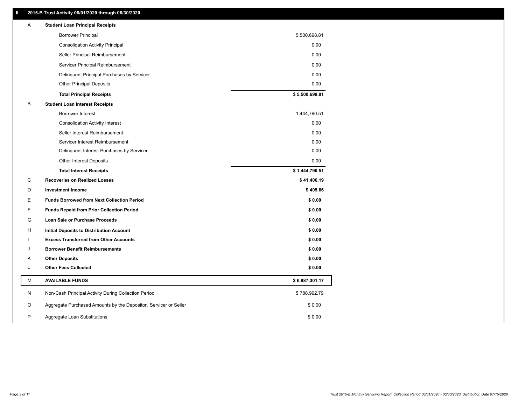### **II. 2015-B Trust Activity 06/01/2020 through 06/30/2020**

| Α | <b>Student Loan Principal Receipts</b>                           |                |
|---|------------------------------------------------------------------|----------------|
|   | <b>Borrower Principal</b>                                        | 5,500,698.81   |
|   | <b>Consolidation Activity Principal</b>                          | 0.00           |
|   | Seller Principal Reimbursement                                   | 0.00           |
|   | Servicer Principal Reimbursement                                 | 0.00           |
|   | Delinquent Principal Purchases by Servicer                       | 0.00           |
|   | <b>Other Principal Deposits</b>                                  | 0.00           |
|   | <b>Total Principal Receipts</b>                                  | \$5,500,698.81 |
| В | <b>Student Loan Interest Receipts</b>                            |                |
|   | <b>Borrower Interest</b>                                         | 1,444,790.51   |
|   | <b>Consolidation Activity Interest</b>                           | 0.00           |
|   | Seller Interest Reimbursement                                    | 0.00           |
|   | Servicer Interest Reimbursement                                  | 0.00           |
|   | Delinquent Interest Purchases by Servicer                        | 0.00           |
|   | <b>Other Interest Deposits</b>                                   | 0.00           |
|   | <b>Total Interest Receipts</b>                                   | \$1,444,790.51 |
| C | <b>Recoveries on Realized Losses</b>                             | \$41,406.19    |
| D | <b>Investment Income</b>                                         | \$405.66       |
| Е | <b>Funds Borrowed from Next Collection Period</b>                | \$0.00         |
| F | <b>Funds Repaid from Prior Collection Period</b>                 | \$0.00         |
| G | Loan Sale or Purchase Proceeds                                   | \$0.00         |
| н | Initial Deposits to Distribution Account                         | \$0.00         |
|   | <b>Excess Transferred from Other Accounts</b>                    | \$0.00         |
| J | <b>Borrower Benefit Reimbursements</b>                           | \$0.00         |
| Κ | <b>Other Deposits</b>                                            | \$0.00         |
| Г | <b>Other Fees Collected</b>                                      | \$0.00         |
| М | <b>AVAILABLE FUNDS</b>                                           | \$6,987,301.17 |
| N | Non-Cash Principal Activity During Collection Period             | \$788,992.79   |
| O | Aggregate Purchased Amounts by the Depositor, Servicer or Seller | \$0.00         |
| P | Aggregate Loan Substitutions                                     | \$0.00         |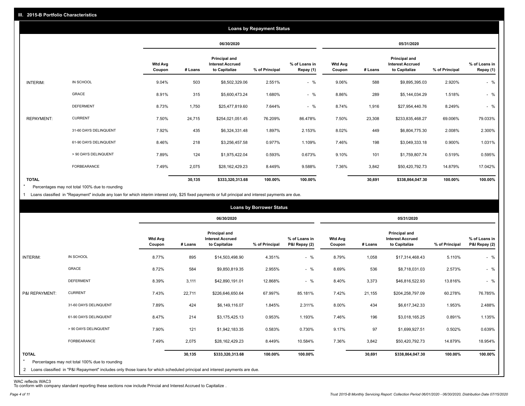|                   |                       |                          |         |                                                           | <b>Loans by Repayment Status</b> |                            |                          |         |                                                           |                |                            |
|-------------------|-----------------------|--------------------------|---------|-----------------------------------------------------------|----------------------------------|----------------------------|--------------------------|---------|-----------------------------------------------------------|----------------|----------------------------|
|                   |                       |                          |         | 06/30/2020                                                |                                  |                            |                          |         | 05/31/2020                                                |                |                            |
|                   |                       | <b>Wtd Avg</b><br>Coupon | # Loans | Principal and<br><b>Interest Accrued</b><br>to Capitalize | % of Principal                   | % of Loans in<br>Repay (1) | <b>Wtd Avg</b><br>Coupon | # Loans | Principal and<br><b>Interest Accrued</b><br>to Capitalize | % of Principal | % of Loans in<br>Repay (1) |
| INTERIM:          | IN SCHOOL             | 9.04%                    | 503     | \$8,502,329.06                                            | 2.551%                           | $-$ %                      | 9.06%                    | 588     | \$9,895,395.03                                            | 2.920%         | $-$ %                      |
|                   | GRACE                 | 8.91%                    | 315     | \$5,600,473.24                                            | 1.680%                           | $-$ %                      | 8.86%                    | 289     | \$5,144,034.29                                            | 1.518%         | $-$ %                      |
|                   | <b>DEFERMENT</b>      | 8.73%                    | 1,750   | \$25,477,819.60                                           | 7.644%                           | $-$ %                      | 8.74%                    | 1,916   | \$27,954,440.76                                           | 8.249%         | $-$ %                      |
| <b>REPAYMENT:</b> | <b>CURRENT</b>        | 7.50%                    | 24,715  | \$254,021,051.45                                          | 76.209%                          | 86.478%                    | 7.50%                    | 23,308  | \$233,835,468.27                                          | 69.006%        | 79.033%                    |
|                   | 31-60 DAYS DELINQUENT | 7.92%                    | 435     | \$6,324,331.48                                            | 1.897%                           | 2.153%                     | 8.02%                    | 449     | \$6,804,775.30                                            | 2.008%         | 2.300%                     |
|                   | 61-90 DAYS DELINQUENT | 8.46%                    | 218     | \$3,256,457.58                                            | 0.977%                           | 1.109%                     | 7.46%                    | 198     | \$3,049,333.18                                            | 0.900%         | 1.031%                     |
|                   | > 90 DAYS DELINQUENT  | 7.89%                    | 124     | \$1,975,422.04                                            | 0.593%                           | 0.673%                     | 9.10%                    | 101     | \$1,759,807.74                                            | 0.519%         | 0.595%                     |
|                   | <b>FORBEARANCE</b>    | 7.49%                    | 2,075   | \$28,162,429.23                                           | 8.449%                           | 9.588%                     | 7.36%                    | 3,842   | \$50,420,792.73                                           | 14.879%        | 17.042%                    |
| <b>TOTAL</b>      |                       |                          | 30,135  | \$333,320,313.68                                          | 100.00%                          | 100.00%                    |                          | 30,691  | \$338,864,047.30                                          | 100.00%        | 100.00%                    |

Percentages may not total 100% due to rounding  $\star$ 

1 Loans classified in "Repayment" include any loan for which interim interest only, \$25 fixed payments or full principal and interest payments are due.

|                         |                                                                                                                              |                          |         |                                                           | <b>Loans by Borrower Status</b> |                                |                          |         |                                                                  |                |                                |
|-------------------------|------------------------------------------------------------------------------------------------------------------------------|--------------------------|---------|-----------------------------------------------------------|---------------------------------|--------------------------------|--------------------------|---------|------------------------------------------------------------------|----------------|--------------------------------|
|                         |                                                                                                                              |                          |         | 06/30/2020                                                |                                 |                                |                          |         | 05/31/2020                                                       |                |                                |
|                         |                                                                                                                              | <b>Wtd Avg</b><br>Coupon | # Loans | Principal and<br><b>Interest Accrued</b><br>to Capitalize | % of Principal                  | % of Loans in<br>P&I Repay (2) | <b>Wtd Avg</b><br>Coupon | # Loans | <b>Principal and</b><br><b>Interest Accrued</b><br>to Capitalize | % of Principal | % of Loans in<br>P&I Repay (2) |
| INTERIM:                | IN SCHOOL                                                                                                                    | 8.77%                    | 895     | \$14,503,498.90                                           | 4.351%                          | $-$ %                          | 8.79%                    | 1,058   | \$17,314,468.43                                                  | 5.110%         | $-$ %                          |
|                         | GRACE                                                                                                                        | 8.72%                    | 584     | \$9,850,819.35                                            | 2.955%                          | $-$ %                          | 8.69%                    | 536     | \$8,718,031.03                                                   | 2.573%         | $-$ %                          |
|                         | <b>DEFERMENT</b>                                                                                                             | 8.39%                    | 3,111   | \$42,890,191.01                                           | 12.868%                         | $-$ %                          | 8.40%                    | 3,373   | \$46,816,522.93                                                  | 13.816%        | $-$ %                          |
| P&I REPAYMENT:          | <b>CURRENT</b>                                                                                                               | 7.43%                    | 22,711  | \$226,646,650.64                                          | 67.997%                         | 85.181%                        | 7.42%                    | 21,155  | \$204,258,797.09                                                 | 60.278%        | 76.785%                        |
|                         | 31-60 DAYS DELINQUENT                                                                                                        | 7.89%                    | 424     | \$6,149,116.07                                            | 1.845%                          | 2.311%                         | 8.00%                    | 434     | \$6,617,342.33                                                   | 1.953%         | 2.488%                         |
|                         | 61-90 DAYS DELINQUENT                                                                                                        | 8.47%                    | 214     | \$3,175,425.13                                            | 0.953%                          | 1.193%                         | 7.46%                    | 196     | \$3,018,165.25                                                   | 0.891%         | 1.135%                         |
|                         | > 90 DAYS DELINQUENT                                                                                                         | 7.90%                    | 121     | \$1,942,183.35                                            | 0.583%                          | 0.730%                         | 9.17%                    | 97      | \$1,699,927.51                                                   | 0.502%         | 0.639%                         |
|                         | FORBEARANCE                                                                                                                  | 7.49%                    | 2,075   | \$28,162,429.23                                           | 8.449%                          | 10.584%                        | 7.36%                    | 3,842   | \$50,420,792.73                                                  | 14.879%        | 18.954%                        |
| <b>TOTAL</b><br>$\star$ | Percentages may not total 100% due to rounding                                                                               |                          | 30,135  | \$333,320,313.68                                          | 100.00%                         | 100.00%                        |                          | 30,691  | \$338,864,047.30                                                 | 100.00%        | 100.00%                        |
|                         | 2 Loans classified in "P&I Repayment" includes only those loans for which scheduled principal and interest payments are due. |                          |         |                                                           |                                 |                                |                          |         |                                                                  |                |                                |

WAC reflects WAC3 To conform with company standard reporting these sections now include Princial and Interest Accrued to Capitalize .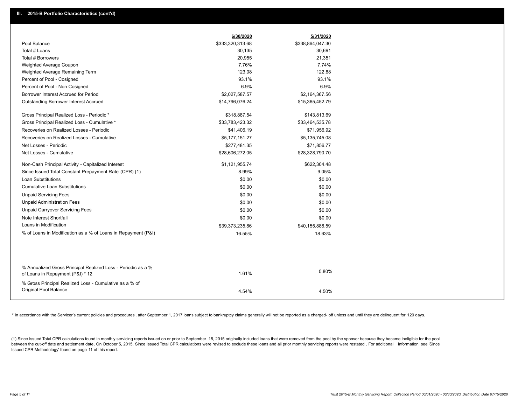|                                                                                                  | 6/30/2020        | 5/31/2020        |
|--------------------------------------------------------------------------------------------------|------------------|------------------|
| Pool Balance                                                                                     | \$333,320,313.68 | \$338,864,047.30 |
| Total # Loans                                                                                    | 30,135           | 30,691           |
| Total # Borrowers                                                                                | 20,955           | 21,351           |
| Weighted Average Coupon                                                                          | 7.76%            | 7.74%            |
| Weighted Average Remaining Term                                                                  | 123.08           | 122.88           |
| Percent of Pool - Cosigned                                                                       | 93.1%            | 93.1%            |
| Percent of Pool - Non Cosigned                                                                   | 6.9%             | 6.9%             |
| Borrower Interest Accrued for Period                                                             | \$2,027,587.57   | \$2,164,367.56   |
| <b>Outstanding Borrower Interest Accrued</b>                                                     | \$14,796,076.24  | \$15,365,452.79  |
| Gross Principal Realized Loss - Periodic *                                                       | \$318,887.54     | \$143,813.69     |
| Gross Principal Realized Loss - Cumulative *                                                     | \$33,783,423.32  | \$33,464,535.78  |
| Recoveries on Realized Losses - Periodic                                                         | \$41,406.19      | \$71,956.92      |
| Recoveries on Realized Losses - Cumulative                                                       | \$5,177,151.27   | \$5,135,745.08   |
| Net Losses - Periodic                                                                            | \$277,481.35     | \$71,856.77      |
| Net Losses - Cumulative                                                                          | \$28,606,272.05  | \$28,328,790.70  |
| Non-Cash Principal Activity - Capitalized Interest                                               | \$1,121,955.74   | \$622,304.48     |
| Since Issued Total Constant Prepayment Rate (CPR) (1)                                            | 8.99%            | 9.05%            |
| Loan Substitutions                                                                               | \$0.00           | \$0.00           |
| <b>Cumulative Loan Substitutions</b>                                                             | \$0.00           | \$0.00           |
| <b>Unpaid Servicing Fees</b>                                                                     | \$0.00           | \$0.00           |
| <b>Unpaid Administration Fees</b>                                                                | \$0.00           | \$0.00           |
| <b>Unpaid Carryover Servicing Fees</b>                                                           | \$0.00           | \$0.00           |
| Note Interest Shortfall                                                                          | \$0.00           | \$0.00           |
| Loans in Modification                                                                            | \$39,373,235.86  | \$40,155,888.59  |
| % of Loans in Modification as a % of Loans in Repayment (P&I)                                    | 16.55%           | 18.63%           |
|                                                                                                  |                  |                  |
|                                                                                                  |                  |                  |
| % Annualized Gross Principal Realized Loss - Periodic as a %<br>of Loans in Repayment (P&I) * 12 | 1.61%            | 0.80%            |
| % Gross Principal Realized Loss - Cumulative as a % of                                           |                  |                  |
| Original Pool Balance                                                                            | 4.54%            | 4.50%            |

\* In accordance with the Servicer's current policies and procedures, after September 1, 2017 loans subject to bankruptcy claims generally will not be reported as a charged- off unless and until they are delinquent for 120

(1) Since Issued Total CPR calculations found in monthly servicing reports issued on or prior to September 15, 2015 originally included loans that were removed from the pool by the sponsor because they became ineligible fo between the cut-off date and settlement date. On October 5, 2015, Since Issued Total CPR calculations were revised to exclude these loans and all prior monthly servicing reports were restated. For additional information, s Issued CPR Methodology' found on page 11 of this report.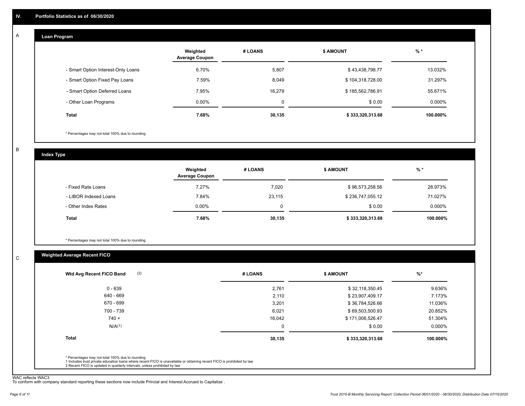#### **Loan Program**  A

|                                    | Weighted<br><b>Average Coupon</b> | # LOANS | <b>\$ AMOUNT</b> | $%$ *    |
|------------------------------------|-----------------------------------|---------|------------------|----------|
| - Smart Option Interest-Only Loans | 6.70%                             | 5,807   | \$43,438,798.77  | 13.032%  |
| - Smart Option Fixed Pay Loans     | 7.59%                             | 8,049   | \$104,318,728.00 | 31.297%  |
| - Smart Option Deferred Loans      | 7.95%                             | 16.279  | \$185,562,786.91 | 55.671%  |
| - Other Loan Programs              | $0.00\%$                          | 0       | \$0.00           | 0.000%   |
| Total                              | 7.68%                             | 30,135  | \$333,320,313.68 | 100.000% |

\* Percentages may not total 100% due to rounding

B

C

**Index Type**

|                       | Weighted<br><b>Average Coupon</b> | # LOANS | <b>\$ AMOUNT</b> | $%$ *     |
|-----------------------|-----------------------------------|---------|------------------|-----------|
| - Fixed Rate Loans    | 7.27%                             | 7,020   | \$96,573,258.56  | 28.973%   |
| - LIBOR Indexed Loans | 7.84%                             | 23,115  | \$236,747,055.12 | 71.027%   |
| - Other Index Rates   | $0.00\%$                          |         | \$0.00           | $0.000\%$ |
| Total                 | 7.68%                             | 30,135  | \$333,320,313.68 | 100.000%  |

\* Percentages may not total 100% due to rounding

## **Weighted Average Recent FICO**

| $0 - 639$          | 2,761  | \$32,118,350.45  | 9.636%    |
|--------------------|--------|------------------|-----------|
| $640 - 669$        | 2,110  | \$23,907,409.17  | 7.173%    |
| 670 - 699          | 3,201  | \$36,784,526.66  | 11.036%   |
| 700 - 739          | 6,021  | \$69,503,500.93  | 20.852%   |
| $740 +$            | 16,042 | \$171,006,526.47 | 51.304%   |
| N/A <sup>(1)</sup> | 0      | \$0.00           | $0.000\%$ |
| <b>Total</b>       | 30,135 | \$333,320,313.68 | 100.000%  |

WAC reflects WAC3 To conform with company standard reporting these sections now include Princial and Interest Accrued to Capitalize .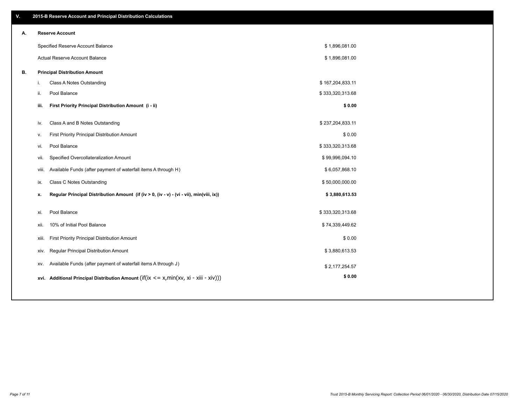| V. |     | 2015-B Reserve Account and Principal Distribution Calculations                             |                  |  |
|----|-----|--------------------------------------------------------------------------------------------|------------------|--|
| А. |     | <b>Reserve Account</b>                                                                     |                  |  |
|    |     | Specified Reserve Account Balance                                                          | \$1,896,081.00   |  |
|    |     | Actual Reserve Account Balance                                                             | \$1,896,081.00   |  |
| В. |     | <b>Principal Distribution Amount</b>                                                       |                  |  |
|    | i.  | Class A Notes Outstanding                                                                  | \$167,204,833.11 |  |
|    | ii. | Pool Balance                                                                               | \$333,320,313.68 |  |
|    |     | First Priority Principal Distribution Amount (i - ii)<br>iii.                              | \$0.00           |  |
|    |     | Class A and B Notes Outstanding<br>iv.                                                     | \$237,204,833.11 |  |
|    | v.  | First Priority Principal Distribution Amount                                               | \$0.00           |  |
|    |     | Pool Balance<br>vi.                                                                        | \$333,320,313.68 |  |
|    |     | Specified Overcollateralization Amount<br>vii.                                             | \$99,996,094.10  |  |
|    |     | Available Funds (after payment of waterfall items A through H)<br>viii.                    | \$6,057,868.10   |  |
|    |     | <b>Class C Notes Outstanding</b><br>ix.                                                    | \$50,000,000.00  |  |
|    | x.  | Regular Principal Distribution Amount (if (iv > 0, (iv - v) - (vi - vii), min(viii, ix))   | \$3,880,613.53   |  |
|    |     |                                                                                            |                  |  |
|    |     | Pool Balance<br>xi.                                                                        | \$333,320,313.68 |  |
|    |     | 10% of Initial Pool Balance<br>xii.                                                        | \$74,339,449.62  |  |
|    |     | First Priority Principal Distribution Amount<br>xiii.                                      | \$0.00           |  |
|    |     | Regular Principal Distribution Amount<br>XIV.                                              | \$3,880,613.53   |  |
|    |     | Available Funds (after payment of waterfall items A through J)<br>XV.                      | \$2,177,254.57   |  |
|    |     | xvi. Additional Principal Distribution Amount (if(ix $\lt$ = x, min(xv, xi - xiii - xiv))) | \$0.00           |  |
|    |     |                                                                                            |                  |  |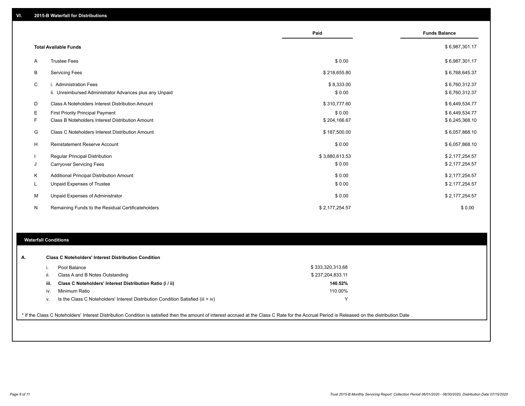|    |                                                         | Paid           | <b>Funds Balance</b> |
|----|---------------------------------------------------------|----------------|----------------------|
|    | <b>Total Available Funds</b>                            |                | \$6,987,301.17       |
| Α  | <b>Trustee Fees</b>                                     | \$0.00         | \$6,987,301.17       |
| В  | <b>Servicing Fees</b>                                   | \$218,655.80   | \$6,768,645.37       |
| C  | i. Administration Fees                                  | \$8,333.00     | \$6,760,312.37       |
|    | ii. Unreimbursed Administrator Advances plus any Unpaid | \$0.00         | \$6,760,312.37       |
| D  | Class A Noteholders Interest Distribution Amount        | \$310,777.60   | \$6,449,534.77       |
| Е  | First Priority Principal Payment                        | \$0.00         | \$6,449,534.77       |
| F. | Class B Noteholders Interest Distribution Amount        | \$204,166.67   | \$6,245,368.10       |
| G  | <b>Class C Noteholders Interest Distribution Amount</b> | \$187,500.00   | \$6,057,868.10       |
| H  | <b>Reinstatement Reserve Account</b>                    | \$0.00         | \$6,057,868.10       |
|    | Regular Principal Distribution                          | \$3,880,613.53 | \$2,177,254.57       |
| J  | <b>Carryover Servicing Fees</b>                         | \$0.00         | \$2,177,254.57       |
| Κ  | Additional Principal Distribution Amount                | \$0.00         | \$2,177,254.57       |
| L  | Unpaid Expenses of Trustee                              | \$0.00         | \$2,177,254.57       |
| м  | Unpaid Expenses of Administrator                        | \$0.00         | \$2,177,254.57       |
| N  | Remaining Funds to the Residual Certificateholders      | \$2,177,254.57 | \$0.00               |

#### **Waterfall Conditions**

| А. |      | <b>Class C Noteholders' Interest Distribution Condition</b>                                                                                                                                     |                  |  |
|----|------|-------------------------------------------------------------------------------------------------------------------------------------------------------------------------------------------------|------------------|--|
|    |      |                                                                                                                                                                                                 |                  |  |
|    |      | Pool Balance                                                                                                                                                                                    | \$333,320,313.68 |  |
|    |      | Class A and B Notes Outstanding                                                                                                                                                                 | \$237,204,833.11 |  |
|    | iii. | Class C Noteholders' Interest Distribution Ratio (i / ii)                                                                                                                                       | 140.52%          |  |
|    | iv.  | Minimum Ratio                                                                                                                                                                                   | 110.00%          |  |
|    | v.   | Is the Class C Noteholders' Interest Distribution Condition Satisfied (iii $>$ iv)                                                                                                              |                  |  |
|    |      |                                                                                                                                                                                                 |                  |  |
|    |      | * If the Class C Noteholders' Interest Distribution Condition is satisfied then the amount of interest accrued at the Class C Rate for the Accrual Period is Released on the distribution Date. |                  |  |
|    |      |                                                                                                                                                                                                 |                  |  |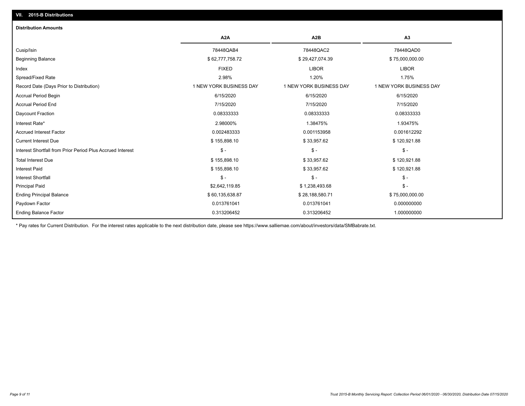# **VII. 2015-B Distributions**

| <b>Distribution Amounts</b>                                |                         |                         |                         |
|------------------------------------------------------------|-------------------------|-------------------------|-------------------------|
|                                                            | A <sub>2</sub> A        | A <sub>2</sub> B        | A <sub>3</sub>          |
| Cusip/Isin                                                 | 78448QAB4               | 78448QAC2               | 78448QAD0               |
| <b>Beginning Balance</b>                                   | \$62,777,758.72         | \$29,427,074.39         | \$75,000,000.00         |
| Index                                                      | <b>FIXED</b>            | <b>LIBOR</b>            | <b>LIBOR</b>            |
| Spread/Fixed Rate                                          | 2.98%                   | 1.20%                   | 1.75%                   |
| Record Date (Days Prior to Distribution)                   | 1 NEW YORK BUSINESS DAY | 1 NEW YORK BUSINESS DAY | 1 NEW YORK BUSINESS DAY |
| <b>Accrual Period Begin</b>                                | 6/15/2020               | 6/15/2020               | 6/15/2020               |
| <b>Accrual Period End</b>                                  | 7/15/2020               | 7/15/2020               | 7/15/2020               |
| Daycount Fraction                                          | 0.08333333              | 0.08333333              | 0.08333333              |
| Interest Rate*                                             | 2.98000%                | 1.38475%                | 1.93475%                |
| <b>Accrued Interest Factor</b>                             | 0.002483333             | 0.001153958             | 0.001612292             |
| <b>Current Interest Due</b>                                | \$155,898.10            | \$33,957.62             | \$120,921.88            |
| Interest Shortfall from Prior Period Plus Accrued Interest | $\mathsf{\$}$ -         | $\mathsf{\$}$ -         | $\frac{1}{2}$           |
| <b>Total Interest Due</b>                                  | \$155,898.10            | \$33,957.62             | \$120,921.88            |
| <b>Interest Paid</b>                                       | \$155,898.10            | \$33,957.62             | \$120,921.88            |
| <b>Interest Shortfall</b>                                  | $\mathsf{\$}$ -         | $\mathsf{\$}$ -         | $\mathsf{\$}$ -         |
| <b>Principal Paid</b>                                      | \$2,642,119.85          | \$1,238,493.68          | $\mathsf{\$}$ -         |
| <b>Ending Principal Balance</b>                            | \$60,135,638.87         | \$28,188,580.71         | \$75,000,000.00         |
| Paydown Factor                                             | 0.013761041             | 0.013761041             | 0.000000000             |
| <b>Ending Balance Factor</b>                               | 0.313206452             | 0.313206452             | 1.000000000             |

\* Pay rates for Current Distribution. For the interest rates applicable to the next distribution date, please see https://www.salliemae.com/about/investors/data/SMBabrate.txt.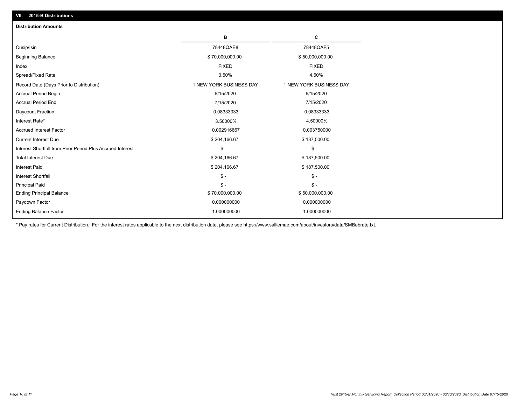| VII. 2015-B Distributions                                  |                         |                         |
|------------------------------------------------------------|-------------------------|-------------------------|
| <b>Distribution Amounts</b>                                |                         |                         |
|                                                            | в                       | C                       |
| Cusip/Isin                                                 | 78448QAE8               | 78448QAF5               |
| <b>Beginning Balance</b>                                   | \$70,000,000.00         | \$50,000,000.00         |
| Index                                                      | <b>FIXED</b>            | <b>FIXED</b>            |
| Spread/Fixed Rate                                          | 3.50%                   | 4.50%                   |
| Record Date (Days Prior to Distribution)                   | 1 NEW YORK BUSINESS DAY | 1 NEW YORK BUSINESS DAY |
| Accrual Period Begin                                       | 6/15/2020               | 6/15/2020               |
| <b>Accrual Period End</b>                                  | 7/15/2020               | 7/15/2020               |
| Daycount Fraction                                          | 0.08333333              | 0.08333333              |
| Interest Rate*                                             | 3.50000%                | 4.50000%                |
| <b>Accrued Interest Factor</b>                             | 0.002916667             | 0.003750000             |
| <b>Current Interest Due</b>                                | \$204,166.67            | \$187,500.00            |
| Interest Shortfall from Prior Period Plus Accrued Interest | $\mathcal{S}$ -         | $\mathcal{S}$ -         |
| <b>Total Interest Due</b>                                  | \$204,166.67            | \$187,500.00            |
| Interest Paid                                              | \$204,166.67            | \$187,500.00            |
| <b>Interest Shortfall</b>                                  | $\mathcal{S}$ -         | $\mathcal{S}$ -         |
| <b>Principal Paid</b>                                      | $\mathbb{S}$ -          | $\mathsf{\$}$ -         |
| <b>Ending Principal Balance</b>                            | \$70,000,000.00         | \$50,000,000.00         |
| Paydown Factor                                             | 0.000000000             | 0.000000000             |
| <b>Ending Balance Factor</b>                               | 1.000000000             | 1.000000000             |

\* Pay rates for Current Distribution. For the interest rates applicable to the next distribution date, please see https://www.salliemae.com/about/investors/data/SMBabrate.txt.